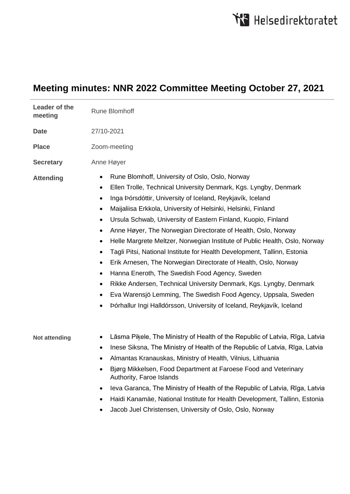## **Meeting minutes: NNR 2022 Committee Meeting October 27, 2021**

| Leader of the<br>meeting | <b>Rune Blomhoff</b>                                                                                                                                                                                                                                                                                                                                                                                                                                                                                                                                                                                                                                                                                                                                                                                                                                                                                                                                                                     |
|--------------------------|------------------------------------------------------------------------------------------------------------------------------------------------------------------------------------------------------------------------------------------------------------------------------------------------------------------------------------------------------------------------------------------------------------------------------------------------------------------------------------------------------------------------------------------------------------------------------------------------------------------------------------------------------------------------------------------------------------------------------------------------------------------------------------------------------------------------------------------------------------------------------------------------------------------------------------------------------------------------------------------|
| <b>Date</b>              | 27/10-2021                                                                                                                                                                                                                                                                                                                                                                                                                                                                                                                                                                                                                                                                                                                                                                                                                                                                                                                                                                               |
| <b>Place</b>             | Zoom-meeting                                                                                                                                                                                                                                                                                                                                                                                                                                                                                                                                                                                                                                                                                                                                                                                                                                                                                                                                                                             |
| <b>Secretary</b>         | Anne Høyer                                                                                                                                                                                                                                                                                                                                                                                                                                                                                                                                                                                                                                                                                                                                                                                                                                                                                                                                                                               |
| <b>Attending</b>         | Rune Blomhoff, University of Oslo, Oslo, Norway<br>٠<br>Ellen Trolle, Technical University Denmark, Kgs. Lyngby, Denmark<br>$\bullet$<br>Inga Þórsdóttir, University of Iceland, Reykjavík, Iceland<br>$\bullet$<br>Maijaliisa Erkkola, University of Helsinki, Helsinki, Finland<br>$\bullet$<br>Ursula Schwab, University of Eastern Finland, Kuopio, Finland<br>$\bullet$<br>Anne Høyer, The Norwegian Directorate of Health, Oslo, Norway<br>٠<br>Helle Margrete Meltzer, Norwegian Institute of Public Health, Oslo, Norway<br>٠<br>Tagli Pitsi, National Institute for Health Development, Tallinn, Estonia<br>$\bullet$<br>Erik Arnesen, The Norwegian Directorate of Health, Oslo, Norway<br>٠<br>Hanna Eneroth, The Swedish Food Agency, Sweden<br>٠<br>Rikke Andersen, Technical University Denmark, Kgs. Lyngby, Denmark<br>٠<br>Eva Warensjö Lemming, The Swedish Food Agency, Uppsala, Sweden<br>٠<br>Þórhallur Ingi Halldórsson, University of Iceland, Reykjavík, Iceland |
| <b>Not attending</b>     | Lāsma Piķele, The Ministry of Health of the Republic of Latvia, Rīga, Latvia<br>٠<br>Inese Siksna, The Ministry of Health of the Republic of Latvia, Rīga, Latvia<br>٠<br>Almantas Kranauskas, Ministry of Health, Vilnius, Lithuania<br>٠<br>Bjørg Mikkelsen, Food Department at Faroese Food and Veterinary<br>Authority, Faroe Islands<br>leva Garanca, The Ministry of Health of the Republic of Latvia, Rīga, Latvia<br>٠<br>Haidi Kanamäe, National Institute for Health Development, Tallinn, Estonia<br>٠<br>Jacob Juel Christensen, University of Oslo, Oslo, Norway<br>٠                                                                                                                                                                                                                                                                                                                                                                                                       |